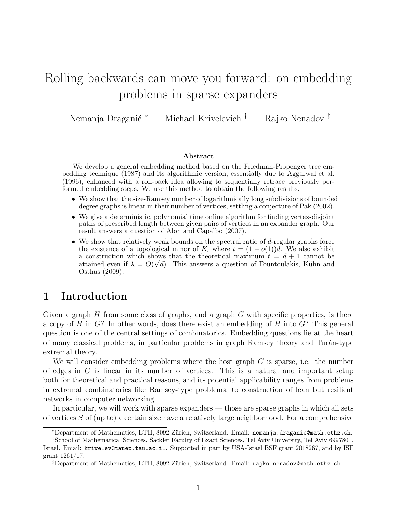# Rolling backwards can move you forward: on embedding problems in sparse expanders

Nemanja Draganić <sup>∗</sup> Michael Krivelevich † Rajko Nenadov ‡

#### Abstract

We develop a general embedding method based on the Friedman-Pippenger tree embedding technique (1987) and its algorithmic version, essentially due to Aggarwal et al. (1996), enhanced with a roll-back idea allowing to sequentially retrace previously performed embedding steps. We use this method to obtain the following results.

- We show that the size-Ramsey number of logarithmically long subdivisions of bounded degree graphs is linear in their number of vertices, settling a conjecture of Pak (2002).
- We give a deterministic, polynomial time online algorithm for finding vertex-disjoint paths of prescribed length between given pairs of vertices in an expander graph. Our result answers a question of Alon and Capalbo (2007).
- We show that relatively weak bounds on the spectral ratio of  $d$ -regular graphs force the existence of a topological minor of  $K_t$  where  $t = (1 - o(1))d$ . We also exhibit a construction which shows that the theoretical maximum  $t = d + 1$  cannot be attained even if  $\lambda = O(\sqrt{d})$ . This answers a question of Fountoulakis, Kühn and Osthus (2009).

### 1 Introduction

Given a graph  $H$  from some class of graphs, and a graph  $G$  with specific properties, is there a copy of  $H$  in  $G$ ? In other words, does there exist an embedding of  $H$  into  $G$ ? This general question is one of the central settings of combinatorics. Embedding questions lie at the heart of many classical problems, in particular problems in graph Ramsey theory and Turán-type extremal theory.

We will consider embedding problems where the host graph  $G$  is sparse, i.e. the number of edges in  $G$  is linear in its number of vertices. This is a natural and important setup both for theoretical and practical reasons, and its potential applicability ranges from problems in extremal combinatorics like Ramsey-type problems, to construction of lean but resilient networks in computer networking.

In particular, we will work with sparse expanders — those are sparse graphs in which all sets of vertices  $S$  of (up to) a certain size have a relatively large neighborhood. For a comprehensive

<sup>∗</sup>Department of Mathematics, ETH, 8092 Zürich, Switzerland. Email: [nemanja.draganic@math.ethz.ch](mailto:nemanja.draganic@math.ethz.ch).

<sup>†</sup>School of Mathematical Sciences, Sackler Faculty of Exact Sciences, Tel Aviv University, Tel Aviv 6997801, Israel. Email: [krivelev@tauex.tau.ac.il](mailto:krivelev@tauex.tau.ac.il). Supported in part by USA-Israel BSF grant 2018267, and by ISF grant 1261/17.

<sup>‡</sup>Department of Mathematics, ETH, 8092 Zürich, Switzerland. Email: [rajko.nenadov@math.ethz.ch](mailto:rajko.nenadov@math.ethz.ch).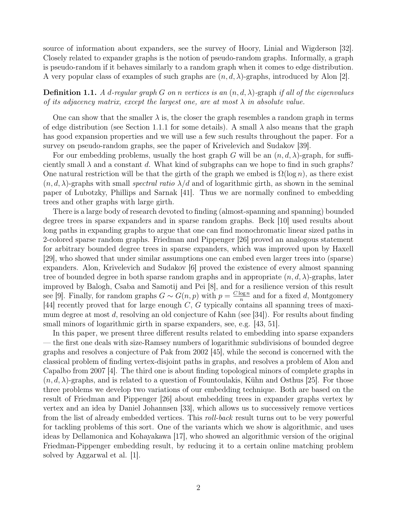source of information about expanders, see the survey of Hoory, Linial and Wigderson [\[32\]](#page-18-0). Closely related to expander graphs is the notion of pseudo-random graphs. Informally, a graph is pseudo-random if it behaves similarly to a random graph when it comes to edge distribution. A very popular class of examples of such graphs are  $(n, d, \lambda)$ -graphs, introduced by Alon [\[2\]](#page-17-0).

**Definition 1.1.** A d-regular graph G on n vertices is an  $(n, d, \lambda)$ -graph if all of the eigenvalues of its adjacency matrix, except the largest one, are at most  $\lambda$  in absolute value.

One can show that the smaller  $\lambda$  is, the closer the graph resembles a random graph in terms of edge distribution (see Section [1.1.1](#page-2-0) for some details). A small  $\lambda$  also means that the graph has good expansion properties and we will use a few such results throughout the paper. For a survey on pseudo-random graphs, see the paper of Krivelevich and Sudakov [\[39\]](#page-19-0).

For our embedding problems, usually the host graph G will be an  $(n, d, \lambda)$ -graph, for sufficiently small  $\lambda$  and a constant d. What kind of subgraphs can we hope to find in such graphs? One natural restriction will be that the girth of the graph we embed is  $\Omega(\log n)$ , as there exist  $(n, d, \lambda)$ -graphs with small spectral ratio  $\lambda/d$  and of logarithmic girth, as shown in the seminal paper of Lubotzky, Phillips and Sarnak [\[41\]](#page-19-1). Thus we are normally confined to embedding trees and other graphs with large girth.

There is a large body of research devoted to finding (almost-spanning and spanning) bounded degree trees in sparse expanders and in sparse random graphs. Beck [\[10\]](#page-17-1) used results about long paths in expanding graphs to argue that one can find monochromatic linear sized paths in 2-colored sparse random graphs. Friedman and Pippenger [\[26\]](#page-18-1) proved an analogous statement for arbitrary bounded degree trees in sparse expanders, which was improved upon by Haxell [\[29\]](#page-18-2), who showed that under similar assumptions one can embed even larger trees into (sparse) expanders. Alon, Krivelevich and Sudakov [\[6\]](#page-17-2) proved the existence of every almost spanning tree of bounded degree in both sparse random graphs and in appropriate  $(n, d, \lambda)$ -graphs, later improved by Balogh, Csaba and Samotij and Pei [\[8\]](#page-17-3), and for a resilience version of this result see [\[9\]](#page-17-4). Finally, for random graphs  $G \sim G(n, p)$  with  $p = \frac{C \log n}{n}$  $\frac{\log n}{n}$  and for a fixed d, Montgomery [\[44\]](#page-19-2) recently proved that for large enough  $C, G$  typically contains all spanning trees of maximum degree at most d, resolving an old conjecture of Kahn (see [\[34\]](#page-18-3)). For results about finding small minors of logarithmic girth in sparse expanders, see, e.g. [\[43,](#page-19-3) [51\]](#page-19-4).

In this paper, we present three different results related to embedding into sparse expanders — the first one deals with size-Ramsey numbers of logarithmic subdivisions of bounded degree graphs and resolves a conjecture of Pak from 2002 [\[45\]](#page-19-5), while the second is concerned with the classical problem of finding vertex-disjoint paths in graphs, and resolves a problem of Alon and Capalbo from 2007 [\[4\]](#page-17-5). The third one is about finding topological minors of complete graphs in  $(n, d, \lambda)$ -graphs, and is related to a question of Fountoulakis, Kühn and Osthus [\[25\]](#page-18-4). For those three problems we develop two variations of our embedding technique. Both are based on the result of Friedman and Pippenger [\[26\]](#page-18-1) about embedding trees in expander graphs vertex by vertex and an idea by Daniel Johannsen [\[33\]](#page-18-5), which allows us to successively remove vertices from the list of already embedded vertices. This roll-back result turns out to be very powerful for tackling problems of this sort. One of the variants which we show is algorithmic, and uses ideas by Dellamonica and Kohayakawa [\[17\]](#page-18-6), who showed an algorithmic version of the original Friedman-Pippenger embedding result, by reducing it to a certain online matching problem solved by Aggarwal et al. [\[1\]](#page-17-6).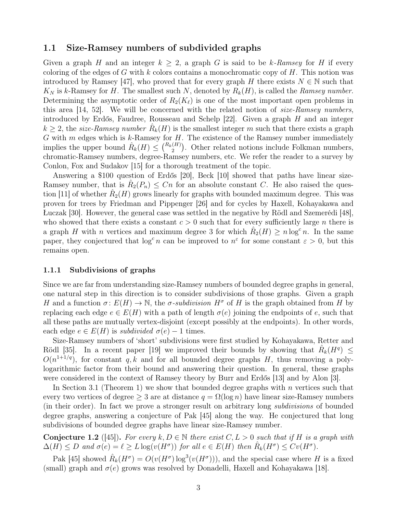#### 1.1 Size-Ramsey numbers of subdivided graphs

Given a graph H and an integer  $k > 2$ , a graph G is said to be k-Ramsey for H if every coloring of the edges of G with k colors contains a monochromatic copy of  $H$ . This notion was introduced by Ramsey [\[47\]](#page-19-6), who proved that for every graph H there exists  $N \in \mathbb{N}$  such that  $K_N$  is k-Ramsey for H. The smallest such N, denoted by  $R_k(H)$ , is called the Ramsey number. Determining the asymptotic order of  $R_2(K_\ell)$  is one of the most important open problems in this area [\[14,](#page-17-7) [52\]](#page-19-7). We will be concerned with the related notion of *size-Ramsey numbers*, introduced by Erdős, Faudree, Rousseau and Schelp [\[22\]](#page-18-7). Given a graph H and an integer  $k \geq 2$ , the size-Ramsey number  $\hat{R}_k(H)$  is the smallest integer m such that there exists a graph G with  $m$  edges which is  $k$ -Ramsey for  $H$ . The existence of the Ramsey number immediately implies the upper bound  $\hat{R}_k(H) \leq {R_k(H) \choose 2}$ . Other related notions include Folkman numbers, chromatic-Ramsey numbers, degree-Ramsey numbers, etc. We refer the reader to a survey by Conlon, Fox and Sudakov [\[15\]](#page-17-8) for a thorough treatment of the topic.

Answering a \$100 question of Erdős [\[20\]](#page-18-8), Beck [\[10\]](#page-17-1) showed that paths have linear size-Ramsey number, that is  $\hat{R}_2(P_n) \leq Cn$  for an absolute constant C. He also raised the ques-tion [\[11\]](#page-17-9) of whether  $\hat{R}_2(H)$  grows linearly for graphs with bounded maximum degree. This was proven for trees by Friedman and Pippenger [\[26\]](#page-18-1) and for cycles by Haxell, Kohayakawa and Łuczak [\[30\]](#page-18-9). However, the general case was settled in the negative by Rödl and Szemerédi [\[48\]](#page-19-8), who showed that there exists a constant  $c > 0$  such that for every sufficiently large n there is a graph H with n vertices and maximum degree 3 for which  $\hat{R}_2(H) \ge n \log^c n$ . In the same paper, they conjectured that  $\log^c n$  can be improved to  $n^{\epsilon}$  for some constant  $\varepsilon > 0$ , but this remains open.

#### <span id="page-2-0"></span>1.1.1 Subdivisions of graphs

Since we are far from understanding size-Ramsey numbers of bounded degree graphs in general, one natural step in this direction is to consider subdivisions of those graphs. Given a graph H and a function  $\sigma: E(H) \to \mathbb{N}$ , the  $\sigma$ -subdivision  $H^{\sigma}$  of H is the graph obtained from H by replacing each edge  $e \in E(H)$  with a path of length  $\sigma(e)$  joining the endpoints of e, such that all these paths are mutually vertex-disjoint (except possibly at the endpoints). In other words, each edge  $e \in E(H)$  is subdivided  $\sigma(e) - 1$  times.

Size-Ramsey numbers of 'short' subdivisions were first studied by Kohayakawa, Retter and Rödl [\[35\]](#page-18-10). In a recent paper [\[19\]](#page-18-11) we improved their bounds by showing that  $\hat{R}_k(H^q) \leq$  $O(n^{1+1/q})$ , for constant q, k and for all bounded degree graphs H, thus removing a polylogarithmic factor from their bound and answering their question. In general, these graphs were considered in the context of Ramsey theory by Burr and Erdős [\[13\]](#page-17-10) and by Alon [\[3\]](#page-17-11).

In Section [3.1](#page-10-0) (Theorem [1\)](#page-3-0) we show that bounded degree graphs with n vertices such that every two vertices of degree  $\geq 3$  are at distance  $q = \Omega(\log n)$  have linear size-Ramsey numbers (in their order). In fact we prove a stronger result on arbitrary long subdivisions of bounded degree graphs, answering a conjecture of Pak [\[45\]](#page-19-5) along the way. He conjectured that long subdivisions of bounded degree graphs have linear size-Ramsey number.

<span id="page-2-1"></span>**Conjecture 1.2** ([\[45\]](#page-19-5)). For every k,  $D \in \mathbb{N}$  there exist  $C, L > 0$  such that if H is a graph with  $\Delta(H) \le D$  and  $\sigma(e) = \ell \ge L \log(v(H^{\sigma}))$  for all  $e \in E(H)$  then  $\hat{R}_k(H^{\sigma}) \le Cv(H^{\sigma})$ .

Pak [\[45\]](#page-19-5) showed  $\hat{R}_k(H^{\sigma}) = O(v(H^{\sigma}) \log^3(v(H^{\sigma})))$ , and the special case where H is a fixed (small) graph and  $\sigma(e)$  grows was resolved by Donadelli, Haxell and Kohayakawa [\[18\]](#page-18-12).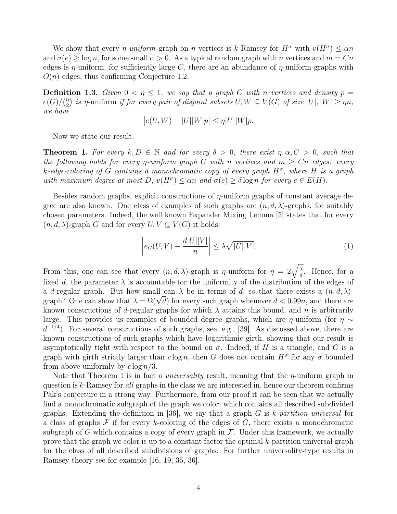We show that every *η-uniform* graph on *n* vertices is k-Ramsey for  $H^{\sigma}$  with  $v(H^{\sigma}) \leq \alpha n$ and  $\sigma(e) \ge \log n$ , for some small  $\alpha > 0$ . As a typical random graph with n vertices and  $m = Cn$ edges is  $\eta$ -uniform, for sufficiently large C, there are an abundance of  $\eta$ -uniform graphs with  $O(n)$  edges, thus confirming Conjecture [1.2.](#page-2-1)

**Definition 1.3.** Given  $0 < \eta \leq 1$ , we say that a graph G with n vertices and density  $p =$  $e(G)/\binom{n}{2}$  $\binom{n}{2}$  is  $\eta$ -uniform if for every pair of disjoint subsets  $U,W\subseteq V(G)$  of size  $|U|,|W|\geq \eta n,$ we have

$$
\big|e(U,W) - |U||W|p\big| \le \eta |U||W|p.
$$

Now we state our result.

<span id="page-3-0"></span>**Theorem 1.** For every  $k, D \in \mathbb{N}$  and for every  $\delta > 0$ , there exist  $\eta, \alpha, C > 0$ , such that the following holds for every *η*-uniform graph G with *n* vertices and  $m \geq Cn$  edges: every k-edge-coloring of G contains a monochromatic copy of every graph  $H^{\sigma}$ , where H is a graph with maximum degree at most  $D$ ,  $v(H^{\sigma}) \leq \alpha n$  and  $\sigma(e) \geq \delta \log n$  for every  $e \in E(H)$ .

Besides random graphs, explicit constructions of  $\eta$ -uniform graphs of constant average degree are also known. One class of examples of such graphs are  $(n, d, \lambda)$ -graphs, for suitably chosen parameters. Indeed, the well known Expander Mixing Lemma [\[5\]](#page-17-12) states that for every  $(n, d, \lambda)$ -graph G and for every  $U, V \subseteq V(G)$  it holds:

<span id="page-3-1"></span>
$$
\left| e_G(U, V) - \frac{d|U||V|}{n} \right| \le \lambda \sqrt{|U||V|}. \tag{1}
$$

From this, one can see that every  $(n, d, \lambda)$ -graph is *η*-uniform for  $\eta = 2\sqrt{\frac{\lambda}{d}}$  $\frac{\lambda}{d}$ . Hence, for a fixed d, the parameter  $\lambda$  is accountable for the uniformity of the distribution of the edges of a d-regular graph. But how small can  $\lambda$  be in terms of d, so that there exists a  $(n, d, \lambda)$ a *d*-regular graph. But how small can  $\lambda$  be in terms of *d*, so that there exists a  $(n, d, \lambda)$ -<br>graph? One can show that  $\lambda = \Omega(\sqrt{d})$  for every such graph whenever  $d < 0.99n$ , and there are known constructions of d-regular graphs for which  $\lambda$  attains this bound, and n is arbitrarily large. This provides us examples of bounded degree graphs, which are  $\eta$ -uniform (for  $\eta \sim$  $d^{-1/4}$ ). For several constructions of such graphs, see, e.g., [\[39\]](#page-19-0). As discussed above, there are known constructions of such graphs which have logarithmic girth, showing that our result is asymptotically tight with respect to the bound on  $\sigma$ . Indeed, if H is a triangle, and G is a graph with girth strictly larger than  $c \log n$ , then G does not contain  $H^{\sigma}$  for any  $\sigma$  bounded from above uniformly by  $c \log n/3$ .

Note that Theorem [1](#page-3-0) is in fact a *universality* result, meaning that the  $\eta$ -uniform graph in question is k-Ramsey for all graphs in the class we are interested in, hence our theorem confirms Pak's conjecture in a strong way. Furthermore, from our proof it can be seen that we actually find a monochromatic subgraph of the graph we color, which contains all described subdivided graphs. Extending the definition in [\[36\]](#page-18-13), we say that a graph  $G$  is k-partition universal for a class of graphs  $\mathcal F$  if for every k-coloring of the edges of  $G$ , there exists a monochromatic subgraph of G which contains a copy of every graph in  $\mathcal F$ . Under this framework, we actually prove that the graph we color is up to a constant factor the optimal k-partition universal graph for the class of all described subdivisions of graphs. For further universality-type results in Ramsey theory see for example [\[16,](#page-18-14) [19,](#page-18-11) [35,](#page-18-10) [36\]](#page-18-13).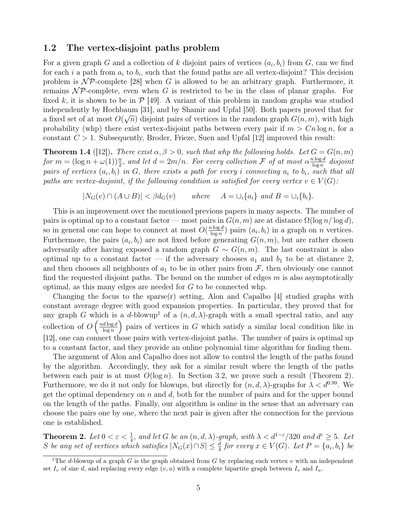#### 1.2 The vertex-disjoint paths problem

For a given graph G and a collection of k disjoint pairs of vertices  $(a_i, b_i)$  from G, can we find for each i a path from  $a_i$  to  $b_i$ , such that the found paths are all vertex-disjoint? This decision problem is  $\mathcal{NP}$ -complete [\[28\]](#page-18-15) when G is allowed to be an arbitrary graph. Furthermore, it remains  $\mathcal{NP}$ -complete, even when G is restricted to be in the class of planar graphs. For fixed k, it is shown to be in  $\mathcal{P}$  [\[49\]](#page-19-9). A variant of this problem in random graphs was studied independently by Hochbaum [\[31\]](#page-18-16), and by Shamir and Upfal [\[50\]](#page-19-10). Both papers proved that for a fixed set of at most  $O(\sqrt{n})$  disjoint pairs of vertices in the random graph  $G(n, m)$ , with high probability (whp) there exist vertex-disjoint paths between every pair if  $m > Cn \log n$ , for a constant  $C > 1$ . Subsequently, Broder, Frieze, Suen and Upfal [\[12\]](#page-17-13) improved this result:

**Theorem 1.4** ([\[12\]](#page-17-13)). There exist  $\alpha, \beta > 0$ , such that whp the following holds. Let  $G = G(n, m)$ for  $m = (\log n + \omega(1))\frac{n}{2}$ , and let  $d = 2m/n$ . For every collection  $\mathcal F$  of at most  $\alpha \frac{n \log d}{\log n}$  $\frac{a \log a}{\log n}$  disjoint pairs of vertices  $(a_i, b_i)$  in G, there exists a path for every i connecting  $a_i$  to  $b_i$ , such that all paths are vertex-disjoint, if the following condition is satisfied for every vertex  $v \in V(G)$ :

$$
|N_G(v) \cap (A \cup B)| < \beta d_G(v) \quad \text{where} \quad A = \bigcup_i \{a_i\} \text{ and } B = \bigcup_i \{b_i\}.
$$

This is an improvement over the mentioned previous papers in many aspects. The number of pairs is optimal up to a constant factor — most pairs in  $G(n, m)$  are at distance  $\Omega(\log n / \log d)$ , so in general one can hope to connect at most  $O(\frac{n \log d}{\log n})$  $\frac{\log a}{\log n}$ ) pairs  $(a_i, b_i)$  in a graph on *n* vertices. Furthermore, the pairs  $(a_i, b_i)$  are not fixed before generating  $G(n, m)$ , but are rather chosen adversarily after having exposed a random graph  $G \sim G(n, m)$ . The last constraint is also optimal up to a constant factor — if the adversary chooses  $a_1$  and  $b_1$  to be at distance 2, and then chooses all neighbours of  $a_1$  to be in other pairs from  $\mathcal{F}$ , then obviously one cannot find the requested disjoint paths. The bound on the number of edges  $m$  is also asymptotically optimal, as this many edges are needed for G to be connected whp.

Changing the focus to the sparse $(r)$  setting, Alon and Capalbo [\[4\]](#page-17-5) studied graphs with constant average degree with good expansion properties. In particular, they proved that for any graph G which is a d-blowup<sup>[1](#page-4-0)</sup> of a  $(n, d, \lambda)$ -graph with a small spectral ratio, and any collection of  $O\left(\frac{nd \log d}{\log n}\right)$  $\frac{d \log d}{\log n}$  pairs of vertices in G which satisfy a similar local condition like in [\[12\]](#page-17-13), one can connect those pairs with vertex-disjoint paths. The number of pairs is optimal up to a constant factor, and they provide an online polynomial time algorithm for finding them.

The argument of Alon and Capalbo does not allow to control the length of the paths found by the algorithm. Accordingly, they ask for a similar result where the length of the paths between each pair is at most  $O(\log n)$ . In Section [3.2,](#page-12-0) we prove such a result (Theorem [2\)](#page-4-1). Furthermore, we do it not only for blowups, but directly for  $(n, d, \lambda)$ -graphs for  $\lambda < d^{0.99}$ . We get the optimal dependency on  $n$  and  $d$ , both for the number of pairs and for the upper bound on the length of the paths. Finally, our algorithm is online in the sense that an adversary can choose the pairs one by one, where the next pair is given after the connection for the previous one is established.

<span id="page-4-1"></span>**Theorem 2.** Let  $0 < \varepsilon < \frac{1}{4}$ , and let G be an  $(n, d, \lambda)$ -graph, with  $\lambda < d^{1-\varepsilon}/320$  and  $d^{\varepsilon} \geq 5$ . Let S be any set of vertices which satisfies  $|N_G(x) \cap S| \leq \frac{d}{4}$  for every  $x \in V(G)$ . Let  $P = \{a_i, b_i\}$  be

<span id="page-4-0"></span><sup>&</sup>lt;sup>1</sup>The d-blowup of a graph  $G$  is the graph obtained from  $G$  by replacing each vertex  $v$  with an independent set  $I_v$  of size d, and replacing every edge  $(v, u)$  with a complete bipartite graph between  $I_v$  and  $I_u$ .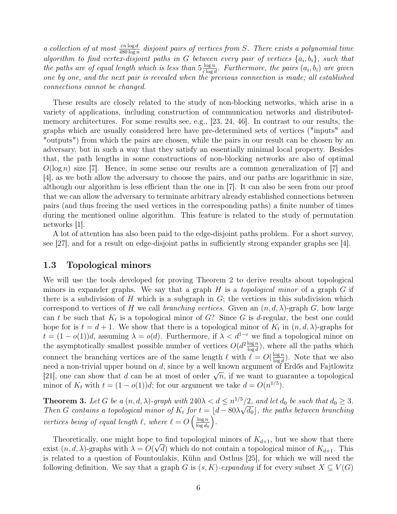a collection of at most  $\frac{\varepsilon n \log d}{480 \log n}$  disjoint pairs of vertices from S. There exists a polynomial time algorithm to find vertex-disjoint paths in G between every pair of vertices  $\{a_i, b_i\}$ , such that the paths are of equal length which is less than  $5\frac{\log n}{\log n}$  $rac{\log n}{\varepsilon \log d}$ . Furthermore, the pairs  $(a_i, b_i)$  are given one by one, and the next pair is revealed when the previous connection is made; all established connections cannot be changed.

These results are closely related to the study of non-blocking networks, which arise in a variety of applications, including construction of communication networks and distributedmemory architectures. For some results see, e.g., [\[23,](#page-18-17) [24,](#page-18-18) [46\]](#page-19-11). In contrast to our results, the graphs which are usually considered here have pre-determined sets of vertices ("inputs" and "outputs") from which the pairs are chosen, while the pairs in our result can be chosen by an adversary, but in such a way that they satisfy an essentially minimal local property. Besides that, the path lengths in some constructions of non-blocking networks are also of optimal  $O(\log n)$  size [\[7\]](#page-17-14). Hence, in some sense our results are a common generalization of [7] and [\[4\]](#page-17-5), as we both allow the adversary to choose the pairs, and our paths are logarithmic in size, although our algorithm is less efficient than the one in [\[7\]](#page-17-14). It can also be seen from our proof that we can allow the adversary to terminate arbitrary already established connections between pairs (and thus freeing the used vertices in the corresponding paths) a finite number of times during the mentioned online algorithm. This feature is related to the study of permutation networks [\[1\]](#page-17-6).

A lot of attention has also been paid to the edge-disjoint paths problem. For a short survey, see [\[27\]](#page-18-19), and for a result on edge-disjoint paths in sufficiently strong expander graphs see [\[4\]](#page-17-5).

#### 1.3 Topological minors

We will use the tools developed for proving Theorem [2](#page-4-1) to derive results about topological minors in expander graphs. We say that a graph  $H$  is a *topological minor* of a graph  $G$  if there is a subdivision of H which is a subgraph in  $G$ ; the vertices in this subdivision which correspond to vertices of H we call branching vertices. Given an  $(n, d, \lambda)$ -graph G, how large can t be such that  $K_t$  is a topological minor of G? Since G is d-regular, the best one could hope for is  $t = d + 1$ . We show that there is a topological minor of  $K_t$  in  $(n, d, \lambda)$ -graphs for  $t = (1 - o(1))d$ , assuming  $\lambda = o(d)$ . Furthermore, if  $\lambda < d^{1-\epsilon}$  we find a topological minor on the asymptotically smallest possible number of vertices  $O(d^2 \frac{\log n}{\log d})$  $\frac{\log n}{\log d}$ , where all the paths which connect the branching vertices are of the same length  $\ell$  with  $\ell = O(\frac{\log n}{\log d})$  $\frac{\log n}{\log d}$ ). Note that we also need a non-trivial upper bound on d, since by a well known argument of Erdős and Fajtlowitz here a non-trivial upper bound on a, since by a wen known argument or Erdos and Pajtiowitz<br>[\[21\]](#page-18-20), one can show that d can be at most of order  $\sqrt{n}$ , if we want to guarantee a topological minor of  $K_t$  with  $t = (1 - o(1))d$ ; for our argument we take  $d = O(n^{1/5})$ .

<span id="page-5-0"></span>**Theorem 3.** Let G be a  $(n, d, \lambda)$ -graph with  $240\lambda < d \leq n^{1/5}/2$ , and let  $d_0$  be such that  $d_0 \geq 3$ . Then G contains a topological minor of  $K_t$  for  $t = \lfloor d - 80\lambda\sqrt{d_0} \rfloor$ , the paths between branching vertices being of equal length  $\ell$ , where  $\ell = O\left(\frac{\log n}{\log d}\right)$  $\log d_0$ .

Theoretically, one might hope to find topological minors of  $K_{d+1}$ , but we show that there exist  $(n, d, \lambda)$ -graphs with  $\lambda = O(\sqrt{d})$  which do not contain a topological minor of  $K_{d+1}$ . This is related to a question of Fountoulakis, Kühn and Osthus [\[25\]](#page-18-4), for which we will need the following definition. We say that a graph G is  $(s, K)$ -expanding if for every subset  $X \subseteq V(G)$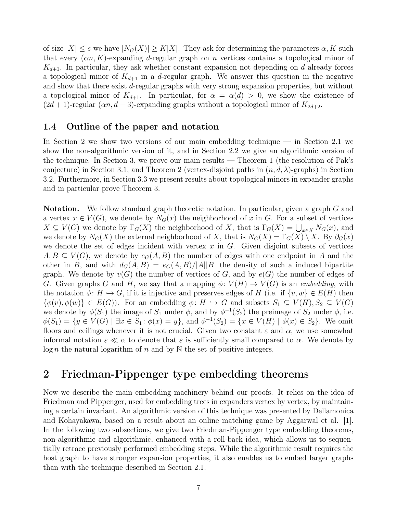of size  $|X| \leq s$  we have  $|N_G(X)| \geq K|X|$ . They ask for determining the parameters  $\alpha, K$  such that every  $(\alpha n, K)$ -expanding d-regular graph on n vertices contains a topological minor of  $K_{d+1}$ . In particular, they ask whether constant expansion not depending on d already forces a topological minor of  $K_{d+1}$  in a d-regular graph. We answer this question in the negative and show that there exist d-regular graphs with very strong expansion properties, but without a topological minor of  $K_{d+1}$ . In particular, for  $\alpha = \alpha(d) > 0$ , we show the existence of  $(2d+1)$ -regular  $(\alpha n, d-3)$ -expanding graphs without a topological minor of  $K_{2d+2}$ .

#### 1.4 Outline of the paper and notation

In Section [2](#page-6-0) we show two versions of our main embedding technique — in Section [2.1](#page-7-0) we show the non-algorithmic version of it, and in Section [2.2](#page-8-0) we give an algorithmic version of the technique. In Section 3, we prove our main results — Theorem [1](#page-3-0) (the resolution of Pak's conjecture) in Section [3.1,](#page-10-0) and Theorem [2](#page-4-1) (vertex-disjoint paths in  $(n, d, \lambda)$ -graphs) in Section [3.2.](#page-12-0) Furthermore, in Section [3.3](#page-14-0) we present results about topological minors in expander graphs and in particular prove Theorem [3.](#page-5-0)

**Notation.** We follow standard graph theoretic notation. In particular, given a graph G and a vertex  $x \in V(G)$ , we denote by  $N_G(x)$  the neighborhood of x in G. For a subset of vertices  $X \subseteq V(G)$  we denote by  $\Gamma_G(X)$  the neighborhood of X, that is  $\Gamma_G(X) = \bigcup_{x \in X} N_G(x)$ , and we denote by  $N_G(X)$  the external neighborhood of X, that is  $N_G(X) = \Gamma_G(X) \setminus X$ . By  $\partial_G(x)$ we denote the set of edges incident with vertex  $x$  in  $G$ . Given disjoint subsets of vertices  $A, B \subseteq V(G)$ , we denote by  $e_G(A, B)$  the number of edges with one endpoint in A and the other in B, and with  $d_G(A, B) = e_G(A, B)/|A||B|$  the density of such a induced bipartite graph. We denote by  $v(G)$  the number of vertices of G, and by  $e(G)$  the number of edges of G. Given graphs G and H, we say that a mapping  $\phi: V(H) \to V(G)$  is an *embedding*, with the notation  $\phi: H \hookrightarrow G$ , if it is injective and preserves edges of H (i.e. if  $\{v, w\} \in E(H)$  then  $\{\phi(v), \phi(w)\}\in E(G)$ ). For an embedding  $\phi: H \hookrightarrow G$  and subsets  $S_1 \subseteq V(H), S_2 \subseteq V(G)$ we denote by  $\phi(S_1)$  the image of  $S_1$  under  $\phi$ , and by  $\phi^{-1}(S_2)$  the preimage of  $S_2$  under  $\phi$ , i.e.  $\phi(S_1) = \{y \in V(G) \mid \exists x \in S_1 : \phi(x) = y\},\$ and  $\phi^{-1}(S_2) = \{x \in V(H) \mid \phi(x) \in S_2\}.$  We omit floors and ceilings whenever it is not crucial. Given two constant  $\varepsilon$  and  $\alpha$ , we use somewhat informal notation  $\varepsilon \ll \alpha$  to denote that  $\varepsilon$  is sufficiently small compared to  $\alpha$ . We denote by  $\log n$  the natural logarithm of n and by N the set of positive integers.

## <span id="page-6-0"></span>2 Friedman-Pippenger type embedding theorems

Now we describe the main embedding machinery behind our proofs. It relies on the idea of Friedman and Pippenger, used for embedding trees in expanders vertex by vertex, by maintaining a certain invariant. An algorithmic version of this technique was presented by Dellamonica and Kohayakawa, based on a result about an online matching game by Aggarwal et al. [\[1\]](#page-17-6). In the following two subsections, we give two Friedman-Pippenger type embedding theorems, non-algorithmic and algorithmic, enhanced with a roll-back idea, which allows us to sequentially retrace previously performed embedding steps. While the algorithmic result requires the host graph to have stronger expansion properties, it also enables us to embed larger graphs than with the technique described in Section [2.1.](#page-7-0)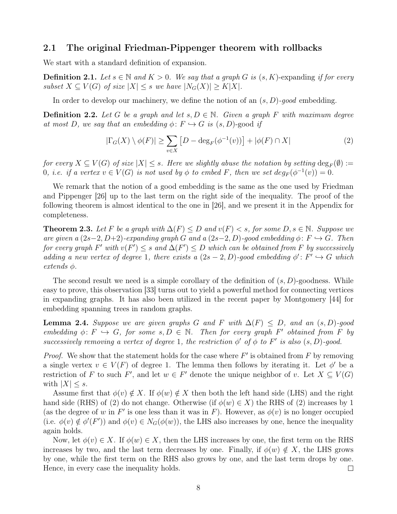#### <span id="page-7-0"></span>2.1 The original Friedman-Pippenger theorem with rollbacks

We start with a standard definition of expansion.

**Definition 2.1.** Let  $s \in \mathbb{N}$  and  $K > 0$ . We say that a graph G is  $(s, K)$ -expanding if for every subset  $X \subseteq V(G)$  of size  $|X| \leq s$  we have  $|N_G(X)| \geq K|X|$ .

In order to develop our machinery, we define the notion of an  $(s, D)$ -good embedding.

**Definition 2.2.** Let G be a graph and let  $s, D \in \mathbb{N}$ . Given a graph F with maximum degree at most D, we say that an embedding  $\phi: F \hookrightarrow G$  is  $(s, D)$ -good if

<span id="page-7-1"></span>
$$
|\Gamma_G(X) \setminus \phi(F)| \ge \sum_{v \in X} \left[ D - \deg_F(\phi^{-1}(v)) \right] + |\phi(F) \cap X| \tag{2}
$$

for every  $X \subseteq V(G)$  of size  $|X| \leq s$ . Here we slightly abuse the notation by setting  $\deg_F(\emptyset) :=$ 0, i.e. if a vertex  $v \in V(G)$  is not used by  $\phi$  to embed F, then we set  $deg_F(\phi^{-1}(v)) = 0$ .

We remark that the notion of a good embedding is the same as the one used by Friedman and Pippenger [\[26\]](#page-18-1) up to the last term on the right side of the inequality. The proof of the following theorem is almost identical to the one in [\[26\]](#page-18-1), and we present it in the Appendix for completeness.

<span id="page-7-2"></span>**Theorem 2.3.** Let F be a graph with  $\Delta(F) \le D$  and  $v(F) \le s$ , for some  $D, s \in \mathbb{N}$ . Suppose we are given a  $(2s-2, D+2)$ -expanding graph G and a  $(2s-2, D)$ -good embedding  $\phi: F \hookrightarrow G$ . Then for every graph F' with  $v(F') \leq s$  and  $\Delta(F') \leq D$  which can be obtained from F by successively adding a new vertex of degree 1, there exists a  $(2s-2, D)$ -good embedding  $\phi' : F' \hookrightarrow G$  which extends φ.

The second result we need is a simple corollary of the definition of  $(s, D)$ -goodness. While easy to prove, this observation [\[33\]](#page-18-5) turns out to yield a powerful method for connecting vertices in expanding graphs. It has also been utilized in the recent paper by Montgomery [\[44\]](#page-19-2) for embedding spanning trees in random graphs.

<span id="page-7-3"></span>**Lemma 2.4.** Suppose we are given graphs G and F with  $\Delta(F) \leq D$ , and an  $(s, D)$ -good embedding  $\phi: F \hookrightarrow G$ , for some  $s, D \in \mathbb{N}$ . Then for every graph F' obtained from F by successively removing a vertex of degree 1, the restriction  $\phi'$  of  $\phi$  to F' is also  $(s, D)$ -good.

*Proof.* We show that the statement holds for the case where  $F'$  is obtained from  $F$  by removing a single vertex  $v \in V(F)$  of degree 1. The lemma then follows by iterating it. Let  $\phi'$  be a restriction of F to such F', and let  $w \in F'$  denote the unique neighbor of v. Let  $X \subseteq V(G)$ with  $|X| \leq s$ .

Assume first that  $\phi(v) \notin X$ . If  $\phi(w) \notin X$  then both the left hand side (LHS) and the right hand side (RHS) of [\(2\)](#page-7-1) do not change. Otherwise (if  $\phi(w) \in X$ ) the RHS of (2) increases by 1 (as the degree of w in F' is one less than it was in F). However, as  $\phi(v)$  is no longer occupied (i.e.  $\phi(v) \notin \phi'(F')$ ) and  $\phi(v) \in N_G(\phi(w))$ , the LHS also increases by one, hence the inequality again holds.

Now, let  $\phi(v) \in X$ . If  $\phi(w) \in X$ , then the LHS increases by one, the first term on the RHS increases by two, and the last term decreases by one. Finally, if  $\phi(w) \notin X$ , the LHS grows by one, while the first term on the RHS also grows by one, and the last term drops by one. Hence, in every case the inequality holds.  $\Box$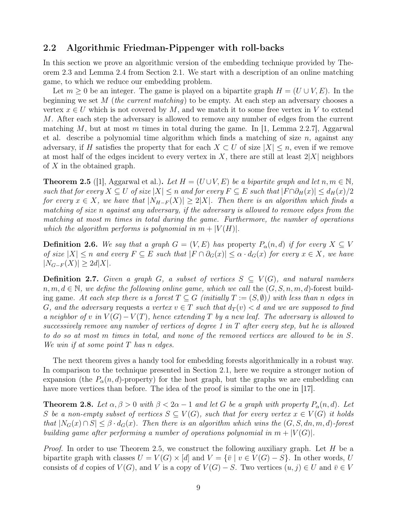#### <span id="page-8-0"></span>2.2 Algorithmic Friedman-Pippenger with roll-backs

In this section we prove an algorithmic version of the embedding technique provided by Theorem [2.3](#page-7-2) and Lemma [2.4](#page-7-3) from Section [2.1.](#page-7-0) We start with a description of an online matching game, to which we reduce our embedding problem.

Let  $m \geq 0$  be an integer. The game is played on a bipartite graph  $H = (U \cup V, E)$ . In the beginning we set  $M$  (the current matching) to be empty. At each step an adversary chooses a vertex  $x \in U$  which is not covered by M, and we match it to some free vertex in V to extend M. After each step the adversary is allowed to remove any number of edges from the current matching M, but at most m times in total during the game. In [\[1,](#page-17-6) Lemma 2.2.7], Aggarwal et al. describe a polynomial time algorithm which finds a matching of size  $n$ , against any adversary, if H satisfies the property that for each  $X \subset U$  of size  $|X| \leq n$ , even if we remove at most half of the edges incident to every vertex in X, there are still at least  $2|X|$  neighbors of X in the obtained graph.

<span id="page-8-1"></span>**Theorem 2.5** ([\[1\]](#page-17-6), Aggarwal et al.). Let  $H = (U \cup V, E)$  be a bipartite graph and let  $n, m \in \mathbb{N}$ , such that for every  $X \subseteq U$  of size  $|X| \leq n$  and for every  $F \subseteq E$  such that  $|F \cap \partial_H(x)| \leq d_H(x)/2$ for every  $x \in X$ , we have that  $|N_{H-F}(X)| \geq 2|X|$ . Then there is an algorithm which finds a matching of size n against any adversary, if the adversary is allowed to remove edges from the matching at most m times in total during the game. Furthermore, the number of operations which the algorithm performs is polynomial in  $m + |V(H)|$ .

**Definition 2.6.** We say that a graph  $G = (V, E)$  has property  $P_{\alpha}(n, d)$  if for every  $X \subseteq V$ of size  $|X| \leq n$  and every  $F \subseteq E$  such that  $|F \cap \partial_G(x)| \leq \alpha \cdot d_G(x)$  for every  $x \in X$ , we have  $|N_{G-F}(X)| \geq 2d|X|.$ 

**Definition 2.7.** Given a graph G, a subset of vertices  $S \subseteq V(G)$ , and natural numbers  $n, m, d \in \mathbb{N}$ , we define the following online game, which we call the  $(G, S, n, m, d)$ -forest building game. At each step there is a forest  $T \subseteq G$  (initially  $T := (S, \emptyset)$ ) with less than n edges in G, and the adversary requests a vertex  $v \in T$  such that  $d_T(v) < d$  and we are supposed to find a neighbor of v in  $V(G) - V(T)$ , hence extending T by a new leaf. The adversary is allowed to successively remove any number of vertices of degree 1 in T after every step, but he is allowed to do so at most m times in total, and none of the removed vertices are allowed to be in S. We win if at some point  $T$  has n edges.

The next theorem gives a handy tool for embedding forests algorithmically in a robust way. In comparison to the technique presented in Section [2.1,](#page-7-0) here we require a stronger notion of expansion (the  $P_{\alpha}(n, d)$ -property) for the host graph, but the graphs we are embedding can have more vertices than before. The idea of the proof is similar to the one in [\[17\]](#page-18-6).

<span id="page-8-2"></span>**Theorem 2.8.** Let  $\alpha, \beta > 0$  with  $\beta < 2\alpha - 1$  and let G be a graph with property  $P_{\alpha}(n, d)$ . Let S be a non-empty subset of vertices  $S \subseteq V(G)$ , such that for every vertex  $x \in V(G)$  it holds that  $|N_G(x) \cap S| \leq \beta \cdot d_G(x)$ . Then there is an algorithm which wins the  $(G, S, dn, m, d)$ -forest building game after performing a number of operations polynomial in  $m + |V(G)|$ .

*Proof.* In order to use Theorem [2.5,](#page-8-1) we construct the following auxiliary graph. Let H be a bipartite graph with classes  $U = V(G) \times [d]$  and  $V = {\overline{v} \mid v \in V(G) - S}$ . In other words, U consists of d copies of  $V(G)$ , and V is a copy of  $V(G) - S$ . Two vertices  $(u, j) \in U$  and  $\overline{v} \in V$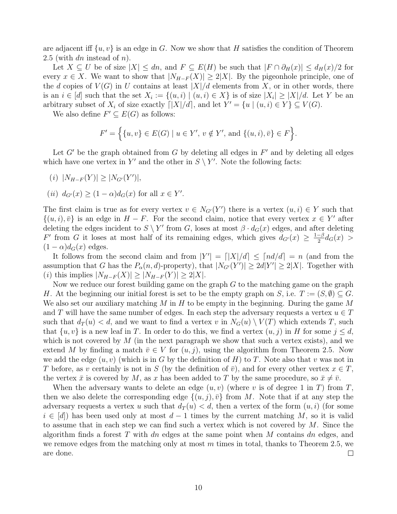are adjacent iff  $\{u, v\}$  is an edge in G. Now we show that H satisfies the condition of Theorem [2.5](#page-8-1) (with dn instead of  $n$ ).

Let  $X \subseteq U$  be of size  $|X| \leq dn$ , and  $F \subseteq E(H)$  be such that  $|F \cap \partial_H(x)| \leq d_H(x)/2$  for every  $x \in X$ . We want to show that  $|N_{H-F}(X)| \geq 2|X|$ . By the pigeonhole principle, one of the d copies of  $V(G)$  in U contains at least  $|X|/d$  elements from X, or in other words, there is an  $i \in [d]$  such that the set  $X_i := \{(u, i) \mid (u, i) \in X\}$  is of size  $|X_i| \geq |X|/d$ . Let Y be an arbitrary subset of  $X_i$  of size exactly  $\lceil |X|/d \rceil$ , and let  $Y' = \{u \mid (u, i) \in Y\} \subseteq V(G)$ .

We also define  $F' \subseteq E(G)$  as follows:

$$
F' = \Big\{ \{u, v\} \in E(G) \mid u \in Y', v \notin Y', \text{ and } \{(u, i), \bar{v}\} \in F \Big\}.
$$

Let  $G'$  be the graph obtained from  $G$  by deleting all edges in  $F'$  and by deleting all edges which have one vertex in Y' and the other in  $S \setminus Y'$ . Note the following facts:

 $(i)$   $|N_{H-F}(Y)| \geq |N_{G'}(Y')|,$ 

(ii) 
$$
d_{G'}(x) \ge (1 - \alpha) d_G(x)
$$
 for all  $x \in Y'$ .

The first claim is true as for every vertex  $v \in N_{G'}(Y')$  there is a vertex  $(u, i) \in Y$  such that  $\{(u, i), \bar{v}\}\$ is an edge in  $H - F$ . For the second claim, notice that every vertex  $x \in Y'$  after deleting the edges incident to  $S \setminus Y'$  from G, loses at most  $\beta \cdot d_G(x)$  edges, and after deleting F' from G it loses at most half of its remaining edges, which gives  $d_{G'}(x) \geq \frac{1-\beta}{2}$  $\frac{-\beta}{2}d_G(x) >$  $(1 - \alpha)d_G(x)$  edges.

It follows from the second claim and from  $|Y'| = |X|/d \leq \lceil nd/d \rceil = n$  (and from the assumption that G has the  $P_{\alpha}(n, d)$ -property), that  $|N_{G'}(Y')| \geq 2d|Y'| \geq 2|X|$ . Together with (*i*) this implies  $|N_{H-F}(X)| \ge |N_{H-F}(Y)| \ge 2|X|$ .

Now we reduce our forest building game on the graph  $G$  to the matching game on the graph H. At the beginning our initial forest is set to be the empty graph on S, i.e.  $T := (S, \emptyset) \subseteq G$ . We also set our auxiliary matching M in H to be empty in the beginning. During the game  $M$ and T will have the same number of edges. In each step the adversary requests a vertex  $u \in T$ such that  $d_T(u) < d$ , and we want to find a vertex v in  $N_G(u) \setminus V(T)$  which extends T, such that  $\{u, v\}$  is a new leaf in T. In order to do this, we find a vertex  $(u, j)$  in H for some  $j \leq d$ , which is not covered by  $M$  (in the next paragraph we show that such a vertex exists), and we extend M by finding a match  $\bar{v} \in V$  for  $(u, j)$ , using the algorithm from Theorem [2.5.](#page-8-1) Now we add the edge  $(u, v)$  (which is in G by the definition of H) to T. Note also that v was not in T before, as v certainly is not in S (by the definition of  $\bar{v}$ ), and for every other vertex  $x \in T$ , the vertex  $\bar{x}$  is covered by M, as x has been added to T by the same procedure, so  $\bar{x} \neq \bar{v}$ .

When the adversary wants to delete an edge  $(u, v)$  (where v is of degree 1 in T) from T, then we also delete the corresponding edge  $\{(u, j), \bar{v}\}\$ from M. Note that if at any step the adversary requests a vertex u such that  $d_T(u) < d$ , then a vertex of the form  $(u, i)$  (for some  $i \in [d]$ ) has been used only at most  $d-1$  times by the current matching M, so it is valid to assume that in each step we can find such a vertex which is not covered by  $M$ . Since the algorithm finds a forest T with dn edges at the same point when  $M$  contains dn edges, and we remove edges from the matching only at most  $m$  times in total, thanks to Theorem [2.5,](#page-8-1) we are done.  $\Box$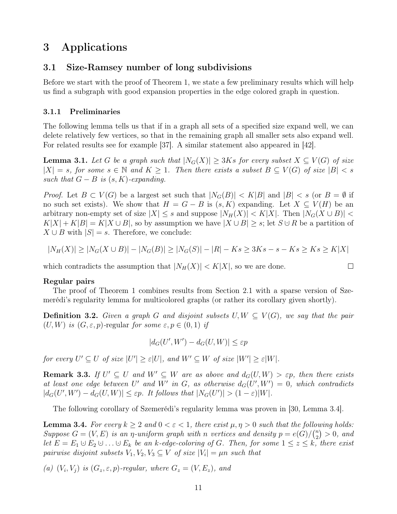# 3 Applications

#### <span id="page-10-0"></span>3.1 Size-Ramsey number of long subdivisions

Before we start with the proof of Theorem [1,](#page-3-0) we state a few preliminary results which will help us find a subgraph with good expansion properties in the edge colored graph in question.

#### 3.1.1 Preliminaries

The following lemma tells us that if in a graph all sets of a specified size expand well, we can delete relatively few vertices, so that in the remaining graph all smaller sets also expand well. For related results see for example [\[37\]](#page-19-12). A similar statement also appeared in [\[42\]](#page-19-13).

<span id="page-10-3"></span>**Lemma 3.1.** Let G be a graph such that  $|N_G(X)| \ge 3Ks$  for every subset  $X \subseteq V(G)$  of size  $|X| = s$ , for some  $s \in \mathbb{N}$  and  $K \geq 1$ . Then there exists a subset  $B \subseteq V(G)$  of size  $|B| < s$ such that  $G - B$  is  $(s, K)$ -expanding.

*Proof.* Let  $B \subset V(G)$  be a largest set such that  $|N_G(B)| < K|B|$  and  $|B| < s$  (or  $B = \emptyset$  if no such set exists). We show that  $H = G - B$  is  $(s, K)$  expanding. Let  $X \subseteq V(H)$  be an arbitrary non-empty set of size  $|X| \leq s$  and suppose  $|N_H(X)| < K|X|$ . Then  $|N_G(X \cup B)|$  $K|X| + K|B| = K|X \cup B|$ , so by assumption we have  $|X \cup B| \geq s$ ; let  $S \cup R$  be a partition of  $X \cup B$  with  $|S| = s$ . Therefore, we conclude:

$$
|N_H(X)| \ge |N_G(X \cup B)| - |N_G(B)| \ge |N_G(S)| - |R| - Ks \ge 3Ks - s - Ks \ge Ks \ge K|X|
$$

 $\Box$ 

which contradicts the assumption that  $|N_H(X)| < K|X|$ , so we are done.

#### Regular pairs

The proof of Theorem [1](#page-3-0) combines results from Section [2.1](#page-7-0) with a sparse version of Szemerédi's regularity lemma for multicolored graphs (or rather its corollary given shortly).

**Definition 3.2.** Given a graph G and disjoint subsets  $U, W \subseteq V(G)$ , we say that the pair  $(U, W)$  is  $(G, \varepsilon, p)$ -regular for some  $\varepsilon, p \in (0, 1)$  if

$$
|d_G(U',W') - d_G(U,W)| \leq \varepsilon p
$$

for every  $U' \subseteq U$  of size  $|U'| \geq \varepsilon |U|$ , and  $W' \subseteq W$  of size  $|W'| \geq \varepsilon |W|$ .

<span id="page-10-2"></span>**Remark 3.3.** If  $U' \subseteq U$  and  $W' \subseteq W$  are as above and  $d_G(U, W) > \varepsilon_p$ , then there exists at least one edge between U' and W' in G, as otherwise  $d_G(U',W')=0$ , which contradicts  $|d_G(U',W') - d_G(U,W)| \leq \varepsilon p$ . It follows that  $|N_G(U')| > (1-\varepsilon)|W|$ .

The following corollary of Szemerédi's regularity lemma was proven in [\[30,](#page-18-9) Lemma 3.4].

<span id="page-10-1"></span>**Lemma 3.4.** For every  $k \geq 2$  and  $0 < \varepsilon < 1$ , there exist  $\mu, \eta > 0$  such that the following holds: Suppose  $G = (V, E)$  is an  $\eta$ -uniform graph with n vertices and density  $p = e(G)/\binom{n}{2}$  $_{2}^{n})>0, \text{ and}$ let  $E = E_1 \cup E_2 \cup \ldots \cup E_k$  be an k-edge-coloring of G. Then, for some  $1 \le z \le k$ , there exist pairwise disjoint subsets  $V_1, V_2, V_3 \subseteq V$  of size  $|V_i| = \mu n$  such that

(a)  $(V_i, V_j)$  is  $(G_z, \varepsilon, p)$ -regular, where  $G_z = (V, E_z)$ , and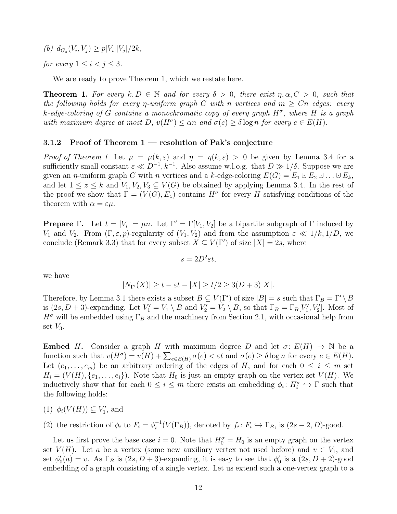(b)  $d_{G_z}(V_i, V_j) \geq p|V_i||V_j|/2k$ ,

for every  $1 \leq i < j \leq 3$ .

We are ready to prove Theorem [1,](#page-3-0) which we restate here.

**Theorem 1.** For every  $k, D \in \mathbb{N}$  and for every  $\delta > 0$ , there exist  $\eta, \alpha, C > 0$ , such that the following holds for every *η*-uniform graph G with *n* vertices and  $m \geq Cn$  edges: every k-edge-coloring of G contains a monochromatic copy of every graph  $H^{\sigma}$ , where H is a graph with maximum degree at most  $D$ ,  $v(H^{\sigma}) \leq \alpha n$  and  $\sigma(e) \geq \delta \log n$  for every  $e \in E(H)$ .

#### 3.1.2 Proof of Theorem  $1$  — resolution of Pak's conjecture

Proof of Theorem [1.](#page-3-0) Let  $\mu = \mu(k,\varepsilon)$  and  $\eta = \eta(k,\varepsilon) > 0$  be given by Lemma [3.4](#page-10-1) for a sufficiently small constant  $\varepsilon \ll D^{-1}, k^{-1}$ . Also assume w.l.o.g. that  $D \gg 1/\delta$ . Suppose we are given an  $\eta$ -uniform graph G with n vertices and a k-edge-coloring  $E(G) = E_1 \cup E_2 \cup ... \cup E_k$ , and let  $1 \leq z \leq k$  and  $V_1, V_2, V_3 \subseteq V(G)$  be obtained by applying Lemma [3.4.](#page-10-1) In the rest of the proof we show that  $\Gamma = (V(G), E_z)$  contains  $H^{\sigma}$  for every H satisfying conditions of the theorem with  $\alpha = \varepsilon \mu$ .

**Prepare**  $\Gamma$ . Let  $t = |V_i| = \mu n$ . Let  $\Gamma' = \Gamma[V_1, V_2]$  be a bipartite subgraph of  $\Gamma$  induced by V<sub>1</sub> and V<sub>2</sub>. From  $(\Gamma, \varepsilon, p)$ -regularity of  $(V_1, V_2)$  and from the assumption  $\varepsilon \ll 1/k, 1/D$ , we conclude (Remark [3.3\)](#page-10-2) that for every subset  $X \subseteq V(\Gamma')$  of size  $|X| = 2s$ , where

$$
s = 2D^2 \varepsilon t,
$$

we have

$$
|N_{\Gamma'}(X)| \ge t - \varepsilon t - |X| \ge t/2 \ge 3(D+3)|X|.
$$

Therefore, by Lemma [3.1](#page-10-3) there exists a subset  $B \subseteq V(\Gamma')$  of size  $|B| = s$  such that  $\Gamma_B = \Gamma' \setminus B$ is  $(2s, D + 3)$ -expanding. Let  $V'_1 = V_1 \setminus B$  and  $V'_2 = V_2 \setminus B$ , so that  $\Gamma_B = \Gamma_B[V'_1, V'_2]$ . Most of  $H^{\sigma}$  will be embedded using  $\Gamma_B$  and the machinery from Section [2.1,](#page-7-0) with occasional help from set  $V_3$ .

**Embed** H. Consider a graph H with maximum degree D and let  $\sigma: E(H) \to \mathbb{N}$  be a function such that  $v(H^{\sigma}) = v(H) + \sum_{e \in E(H)} \sigma(e) < \varepsilon t$  and  $\sigma(e) \geq \delta \log n$  for every  $e \in E(H)$ . Let  $(e_1, \ldots, e_m)$  be an arbitrary ordering of the edges of H, and for each  $0 \leq i \leq m$  set  $H_i = (V(H), \{e_1, \ldots, e_i\})$ . Note that  $H_0$  is just an empty graph on the vertex set  $V(H)$ . We inductively show that for each  $0 \leq i \leq m$  there exists an embedding  $\phi_i : H_i^{\sigma} \hookrightarrow \Gamma$  such that the following holds:

- (1)  $\phi_i(V(H)) \subseteq V'_1$ , and
- (2) the restriction of  $\phi_i$  to  $F_i = \phi_i^{-1}$  $i^{-1}(V(\Gamma_B))$ , denoted by  $f_i: F_i \hookrightarrow \Gamma_B$ , is  $(2s-2, D)$ -good.

Let us first prove the base case  $i = 0$ . Note that  $H_0^{\sigma} = H_0$  is an empty graph on the vertex set  $V(H)$ . Let a be a vertex (some new auxiliary vertex not used before) and  $v \in V_1$ , and set  $\phi_0'(a) = v$ . As  $\Gamma_B$  is  $(2s, D + 3)$ -expanding, it is easy to see that  $\phi_0'$  is a  $(2s, D + 2)$ -good embedding of a graph consisting of a single vertex. Let us extend such a one-vertex graph to a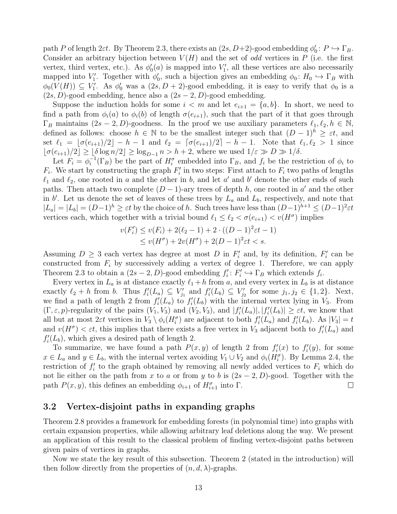path P of length 2 $\varepsilon t$ . By Theorem [2.3,](#page-7-2) there exists an  $(2s, D+2)$ -good embedding  $\phi_0: P \hookrightarrow \Gamma_B$ . Consider an arbitrary bijection between  $V(H)$  and the set of *odd* vertices in P (i.e. the first vertex, third vertex, etc.). As  $\phi_0'(a)$  is mapped into  $V_1'$ , all these vertices are also necessarily mapped into  $V_1'$ . Together with  $\phi'_0$ , such a bijection gives an embedding  $\phi_0: H_0 \hookrightarrow \Gamma_B$  with  $\phi_0(V(H)) \subseteq V'_1$ . As  $\phi'_0$  was a  $(2s, D + 2)$ -good embedding, it is easy to verify that  $\phi_0$  is a  $(2s, D)$ -good embedding, hence also a  $(2s – 2, D)$ -good embedding.

Suppose the induction holds for some  $i < m$  and let  $e_{i+1} = \{a, b\}$ . In short, we need to find a path from  $\phi_i(a)$  to  $\phi_i(b)$  of length  $\sigma(e_{i+1})$ , such that the part of it that goes through  $\Gamma_B$  maintains  $(2s - 2, D)$ -goodness. In the proof we use auxiliary parameters  $\ell_1, \ell_2, h \in \mathbb{N}$ , defined as follows: choose  $h \in \mathbb{N}$  to be the smallest integer such that  $(D-1)^h \geq \varepsilon t$ , and set  $\ell_1 = [\sigma(e_{i+1})/2] - h - 1$  and  $\ell_2 = [\sigma(e_{i+1})/2] - h - 1$ . Note that  $\ell_1, \ell_2 > 1$  since  $\lfloor \sigma(e_{i+1})/2 \rfloor \geq \lfloor \delta \log n/2 \rfloor \geq \log_{D-1} n > h+2$ , where we used  $1/\varepsilon \gg D \gg 1/\delta$ .

Let  $F_i = \phi_i^{-1}$  $i^{-1}(\Gamma_B)$  be the part of  $H_i^{\sigma}$  embedded into  $\Gamma_B$ , and  $f_i$  be the restriction of  $\phi_i$  to  $F_i$ . We start by constructing the graph  $F'_i$  in two steps: First attach to  $F_i$  two paths of lengths  $\ell_1$  and  $\ell_2$ , one rooted in a and the other in b, and let a' and b' denote the other ends of such paths. Then attach two complete  $(D-1)$ -ary trees of depth h, one rooted in a' and the other in b'. Let us denote the set of leaves of these trees by  $L_a$  and  $L_b$ , respectively, and note that  $|L_a| = |L_b| = (D-1)^h \geq \varepsilon t$  by the choice of h. Such trees have less than  $(D-1)^{h+1} \leq (D-1)^2 \varepsilon t$ vertices each, which together with a trivial bound  $\ell_1 \leq \ell_2 < \sigma(e_{i+1}) < v(H^{\sigma})$  implies

$$
v(F'_i) \le v(F_i) + 2(\ell_2 - 1) + 2 \cdot ((D - 1)^2 \varepsilon t - 1)
$$
  
 
$$
\le v(H^{\sigma}) + 2v(H^{\sigma}) + 2(D - 1)^2 \varepsilon t < s.
$$

Assuming  $D \geq 3$  each vertex has degree at most D in  $F'_i$  and, by its definition,  $F'_i$  can be constructed from  $F_i$  by successively adding a vertex of degree 1. Therefore, we can apply Theorem [2.3](#page-7-2) to obtain a  $(2s - 2, D)$ -good embedding  $f_i' : F_i' \hookrightarrow \Gamma_B$  which extends  $f_i$ .

Every vertex in  $L_a$  is at distance exactly  $\ell_1 + h$  from a, and every vertex in  $L_b$  is at distance exactly  $\ell_2 + h$  from b. Thus  $f_i'(L_a) \subseteq V'_{j_1}$  and  $f_i'(L_b) \subseteq V'_{j_2}$  for some  $j_1, j_2 \in \{1, 2\}$ . Next, we find a path of length 2 from  $f_i'(L_a)$  to  $f_i'(L_b)$  with the internal vertex lying in  $V_3$ . From  $(\Gamma, \varepsilon, p)$ -regularity of the pairs  $(V_1, V_3)$  and  $(V_2, V_3)$ , and  $|f'_i(L_a)|, |f'_i(L_b)| \geq \varepsilon t$ , we know that all but at most 2 $\varepsilon t$  vertices in  $V_3 \setminus \phi_i(H_i^{\sigma})$  are adjacent to both  $f_i'(L_a)$  and  $f_i'(L_b)$ . As  $|V_3| = t$ and  $v(H^{\sigma}) < \varepsilon t$ , this implies that there exists a free vertex in  $V_3$  adjacent both to  $f_i'(L_a)$  and  $f_i'(L_b)$ , which gives a desired path of length 2.

To summarize, we have found a path  $P(x, y)$  of length 2 from  $f_i'(x)$  to  $f_i'(y)$ , for some  $x \in L_a$  and  $y \in L_b$ , with the internal vertex avoiding  $V_1 \cup V_2$  and  $\phi_i(H_i^{\sigma})$ . By Lemma [2.4,](#page-7-3) the restriction of  $f_i'$  to the graph obtained by removing all newly added vertices to  $F_i$  which do not lie either on the path from x to a or from y to b is  $(2s – 2, D)$ -good. Together with the path  $P(x, y)$ , this defines an embedding  $\phi_{i+1}$  of  $H_{i+1}^{\sigma}$  into  $\Gamma$ .  $\Box$ 

#### <span id="page-12-0"></span>3.2 Vertex-disjoint paths in expanding graphs

Theorem [2.8](#page-8-2) provides a framework for embedding forests (in polynomial time) into graphs with certain expansion properties, while allowing arbitrary leaf deletions along the way. We present an application of this result to the classical problem of finding vertex-disjoint paths between given pairs of vertices in graphs.

Now we state the key result of this subsection. Theorem [2](#page-4-1) (stated in the introduction) will then follow directly from the properties of  $(n, d, \lambda)$ -graphs.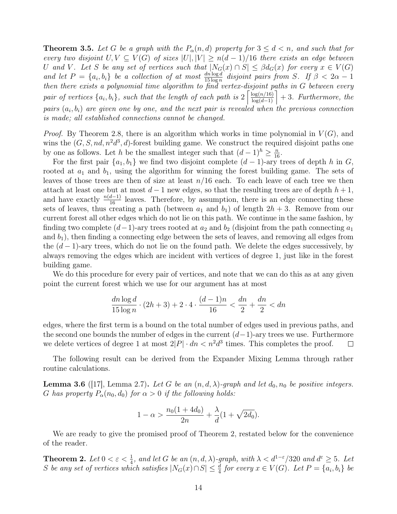<span id="page-13-1"></span>**Theorem 3.5.** Let G be a graph with the  $P_{\alpha}(n,d)$  property for  $3 \leq d \leq n$ , and such that for every two disjoint  $U, V \subseteq V(G)$  of sizes  $|U|, |V| \geq n(d-1)/16$  there exists an edge between U and V. Let S be any set of vertices such that  $|N_G(x) \cap S| \leq \beta d_G(x)$  for every  $x \in V(G)$ and let  $P = \{a_i, b_i\}$  be a collection of at most  $\frac{dn \log d}{15 \log n}$  disjoint pairs from S. If  $\beta < 2\alpha - 1$ then there exists a polynomial time algorithm to find vertex-disjoint paths in G between every pair of vertices  $\{a_i, b_i\}$ , such that the length of each path is  $2\left\lceil \frac{\log(n/16)}{\log(d-1)} \right\rceil + 3$ . Furthermore, the pairs  $(a_i, b_i)$  are given one by one, and the next pair is revealed when the previous connection is made; all established connections cannot be changed.

*Proof.* By Theorem [2.8,](#page-8-2) there is an algorithm which works in time polynomial in  $V(G)$ , and wins the  $(G, S, nd, n^2d^3, d)$ -forest building game. We construct the required disjoint paths one by one as follows. Let h be the smallest integer such that  $(d-1)^h \geq \frac{n}{16}$ .

For the first pair  $\{a_1, b_1\}$  we find two disjoint complete  $(d-1)$ -ary trees of depth h in G, rooted at  $a_1$  and  $b_1$ , using the algorithm for winning the forest building game. The sets of leaves of those trees are then of size at least  $n/16$  each. To each leave of each tree we then attach at least one but at most  $d-1$  new edges, so that the resulting trees are of depth  $h+1$ , and have exactly  $\frac{n(d-1)}{16}$  leaves. Therefore, by assumption, there is an edge connecting these sets of leaves, thus creating a path (between  $a_1$  and  $b_1$ ) of length  $2h + 3$ . Remove from our current forest all other edges which do not lie on this path. We continue in the same fashion, by finding two complete  $(d-1)$ -ary trees rooted at  $a_2$  and  $b_2$  (disjoint from the path connecting  $a_1$ and  $b_1$ , then finding a connecting edge between the sets of leaves, and removing all edges from the  $(d-1)$ -ary trees, which do not lie on the found path. We delete the edges successively, by always removing the edges which are incident with vertices of degree 1, just like in the forest building game.

We do this procedure for every pair of vertices, and note that we can do this as at any given point the current forest which we use for our argument has at most

$$
\frac{dn \log d}{15 \log n} \cdot (2h+3) + 2 \cdot 4 \cdot \frac{(d-1)n}{16} < \frac{dn}{2} + \frac{dn}{2} < dn
$$

edges, where the first term is a bound on the total number of edges used in previous paths, and the second one bounds the number of edges in the current  $(d-1)$ -ary trees we use. Furthermore we delete vertices of degree 1 at most  $2|P| \cdot dn < n^2 d^3$  times. This completes the proof.  $\Box$ 

The following result can be derived from the Expander Mixing Lemma through rather routine calculations.

<span id="page-13-0"></span>**Lemma 3.6** ([\[17\]](#page-18-6), Lemma 2.7). Let G be an  $(n, d, \lambda)$ -graph and let  $d_0, n_0$  be positive integers. G has property  $P_{\alpha}(n_0, d_0)$  for  $\alpha > 0$  if the following holds:

$$
1 - \alpha > \frac{n_0(1 + 4d_0)}{2n} + \frac{\lambda}{d}(1 + \sqrt{2d_0}).
$$

We are ready to give the promised proof of Theorem [2,](#page-4-1) restated below for the convenience of the reader.

**Theorem 2.** Let  $0 < \varepsilon < \frac{1}{4}$ , and let G be an  $(n, d, \lambda)$ -graph, with  $\lambda < d^{1-\varepsilon}/320$  and  $d^{\varepsilon} \geq 5$ . Let S be any set of vertices which satisfies  $|N_G(x) \cap S| \leq \frac{d}{4}$  for every  $x \in V(G)$ . Let  $P = \{a_i, b_i\}$  be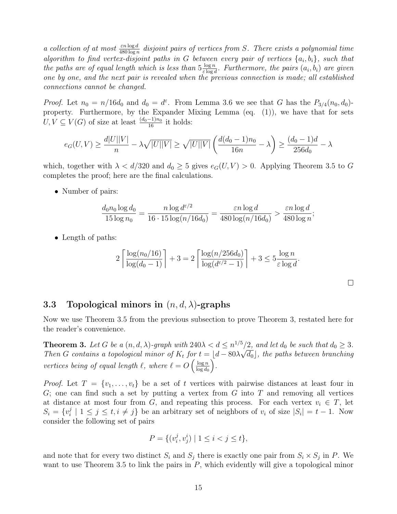a collection of at most  $\frac{\varepsilon n \log d}{480 \log n}$  disjoint pairs of vertices from S. There exists a polynomial time algorithm to find vertex-disjoint paths in G between every pair of vertices  $\{a_i, b_i\}$ , such that the paths are of equal length which is less than  $5\frac{\log n}{\log n}$  $rac{\log n}{\varepsilon \log d}$ . Furthermore, the pairs  $(a_i, b_i)$  are given one by one, and the next pair is revealed when the previous connection is made; all established connections cannot be changed.

*Proof.* Let  $n_0 = n/16d_0$  and  $d_0 = d^{\varepsilon}$ . From Lemma [3.6](#page-13-0) we see that G has the  $P_{3/4}(n_0, d_0)$ property. Furthermore, by the Expander Mixing Lemma (eq. [\(1\)](#page-3-1)), we have that for sets  $U, V \subseteq V(G)$  of size at least  $\frac{(d_0-1)n_0}{16}$  it holds:

$$
e_G(U, V) \ge \frac{d|U||V|}{n} - \lambda \sqrt{|U||V|} \ge \sqrt{|U||V|} \left(\frac{d(d_0 - 1)n_0}{16n} - \lambda\right) \ge \frac{(d_0 - 1)d}{256d_0} - \lambda
$$

which, together with  $\lambda < d/320$  and  $d_0 \geq 5$  gives  $e_G(U, V) > 0$ . Applying Theorem [3.5](#page-13-1) to G completes the proof; here are the final calculations.

• Number of pairs:

$$
\frac{d_0 n_0 \log d_0}{15 \log n_0} = \frac{n \log d^{\varepsilon/2}}{16 \cdot 15 \log(n/16d_0)} = \frac{\varepsilon n \log d}{480 \log(n/16d_0)} > \frac{\varepsilon n \log d}{480 \log n};
$$

• Length of paths:

$$
2\left\lceil \frac{\log(n_0/16)}{\log(d_0 - 1)} \right\rceil + 3 = 2\left\lceil \frac{\log(n/256d_0)}{\log(d^{\varepsilon/2} - 1)} \right\rceil + 3 \le 5\frac{\log n}{\varepsilon \log d}.
$$

 $\Box$ 

#### <span id="page-14-0"></span>3.3 Topological minors in  $(n, d, \lambda)$ -graphs

Now we use Theorem [3.5](#page-13-1) from the previous subsection to prove Theorem [3,](#page-5-0) restated here for the reader's convenience.

**Theorem 3.** Let G be a  $(n, d, \lambda)$ -graph with  $240\lambda < d \leq n^{1/5}/2$ , and let  $d_0$  be such that  $d_0 \geq 3$ . Then G contains a topological minor of  $K_t$  for  $t = \lfloor d - 80\lambda\sqrt{d_0} \rfloor$ , the paths between branching vertices being of equal length  $\ell$ , where  $\ell = O\left(\frac{\log n}{\log d}\right)$  $\log d_0$ .

*Proof.* Let  $T = \{v_1, \ldots, v_t\}$  be a set of t vertices with pairwise distances at least four in  $G$ ; one can find such a set by putting a vertex from  $G$  into  $T$  and removing all vertices at distance at most four from G, and repeating this process. For each vertex  $v_i \in T$ , let  $S_i = \{v_i^j\}$  $j \nmid 1 \leq j \leq t, i \neq j$  be an arbitrary set of neighbors of  $v_i$  of size  $|S_i| = t - 1$ . Now consider the following set of pairs

$$
P = \{ (v_i^j, v_j^i) \mid 1 \le i < j \le t \},
$$

and note that for every two distinct  $S_i$  and  $S_j$  there is exactly one pair from  $S_i \times S_j$  in P. We want to use Theorem [3.5](#page-13-1) to link the pairs in  $P$ , which evidently will give a topological minor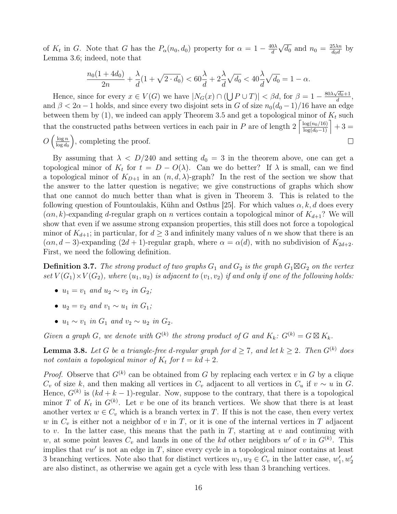of  $K_t$  in G. Note that G has the  $P_\alpha(n_0, d_0)$  property for  $\alpha = 1 - \frac{40\lambda}{d}$ d √  $\overline{d_0}$  and  $n_0 = \frac{25\lambda n}{d_0 d}$  $rac{25\lambda n}{d_0 d}$  by Lemma [3.6;](#page-13-0) indeed, note that

$$
\frac{n_0(1+4d_0)}{2n} + \frac{\lambda}{d}(1+\sqrt{2\cdot d_0}) < 60\frac{\lambda}{d} + 2\frac{\lambda}{d}\sqrt{d_0} < 40\frac{\lambda}{d}\sqrt{d_0} = 1 - \alpha.
$$

Hence, since for every  $x \in V(G)$  we have  $|N_G(x) \cap (\bigcup P \cup T)| < \beta d$ , for  $\beta = 1 - \frac{80\lambda\sqrt{d_0} + 1}{d}$  $\frac{d_0+1}{d},$ and  $\beta < 2\alpha - 1$  holds, and since every two disjoint sets in G of size  $n_0(d_0 - 1)/16$  have an edge between them by  $(1)$ , we indeed can apply Theorem [3.5](#page-13-1) and get a topological minor of  $K_t$  such that the constructed paths between vertices in each pair in P are of length  $2\left[\frac{\log(n_0/16)}{\log(d_0-1)}\right]+3=$ 

 $\Box$ 

 $O\left(\frac{\log n}{\log d_e}\right)$  $\log d_0$ , completing the proof.

By assuming that  $\lambda < D/240$  and setting  $d_0 = 3$  in the theorem above, one can get a topological minor of  $K_t$  for  $t = D - O(\lambda)$ . Can we do better? If  $\lambda$  is small, can we find a topological minor of  $K_{D+1}$  in an  $(n, d, \lambda)$ -graph? In the rest of the section we show that the answer to the latter question is negative; we give constructions of graphs which show that one cannot do much better than what is given in Theorem [3.](#page-5-0) This is related to the following question of Fountoulakis, Kühn and Osthus [\[25\]](#page-18-4). For which values  $\alpha, k, d$  does every  $(\alpha n, k)$ -expanding d-regular graph on n vertices contain a topological minor of  $K_{d+1}$ ? We will show that even if we assume strong expansion properties, this still does not force a topological minor of  $K_{d+1}$ ; in particular, for  $d \geq 3$  and infinitely many values of n we show that there is an  $(\alpha n, d - 3)$ -expanding  $(2d + 1)$ -regular graph, where  $\alpha = \alpha(d)$ , with no subdivision of  $K_{2d+2}$ . First, we need the following definition.

**Definition 3.7.** The strong product of two graphs  $G_1$  and  $G_2$  is the graph  $G_1 \boxtimes G_2$  on the vertex set  $V(G_1) \times V(G_2)$ , where  $(u_1, u_2)$  is adjacent to  $(v_1, v_2)$  if and only if one of the following holds:

- $u_1 = v_1$  and  $u_2 \sim v_2$  in  $G_2$ ;
- $u_2 = v_2$  and  $v_1 \sim u_1$  in  $G_1$ ;
- $u_1 \sim v_1$  in  $G_1$  and  $v_2 \sim u_2$  in  $G_2$ .

Given a graph G, we denote with  $G^{(k)}$  the strong product of G and  $K_k$ :  $G^{(k)} = G \boxtimes K_k$ .

<span id="page-15-0"></span>**Lemma 3.8.** Let G be a triangle-free d-regular graph for  $d \ge 7$ , and let  $k \ge 2$ . Then  $G^{(k)}$  does not contain a topological minor of  $K_t$  for  $t = kd + 2$ .

*Proof.* Observe that  $G^{(k)}$  can be obtained from G by replacing each vertex v in G by a clique  $C_v$  of size k, and then making all vertices in  $C_v$  adjacent to all vertices in  $C_u$  if  $v \sim u$  in G. Hence,  $G^{(k)}$  is  $(kd + k - 1)$ -regular. Now, suppose to the contrary, that there is a topological minor T of  $K_t$  in  $G^{(k)}$ . Let v be one of its branch vertices. We show that there is at least another vertex  $w \in C_v$  which is a branch vertex in T. If this is not the case, then every vertex w in  $C_v$  is either not a neighbor of v in T, or it is one of the internal vertices in T adjacent to v. In the latter case, this means that the path in  $T$ , starting at v and continuing with w, at some point leaves  $C_v$  and lands in one of the kd other neighbors w' of v in  $G^{(k)}$ . This implies that  $vw'$  is not an edge in  $T$ , since every cycle in a topological minor contains at least 3 branching vertices. Note also that for distinct vertices  $w_1, w_2 \in C_v$  in the latter case,  $w'_1, w'_2$ are also distinct, as otherwise we again get a cycle with less than 3 branching vertices.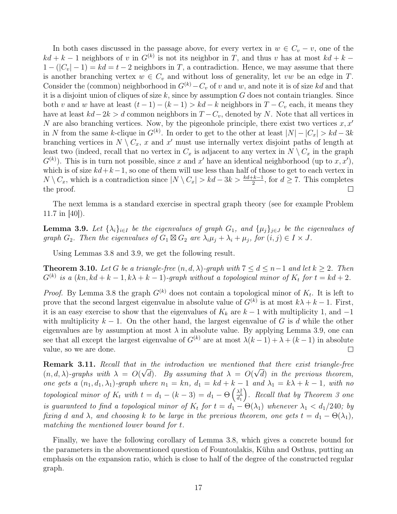In both cases discussed in the passage above, for every vertex in  $w \in C_v - v$ , one of the  $kd + k - 1$  neighbors of v in  $G^{(k)}$  is not its neighbor in T, and thus v has at most  $kd + k - 1$  $1 - (|C_v| - 1) = kd = t - 2$  neighbors in T, a contradiction. Hence, we may assume that there is another branching vertex  $w \in C_v$  and without loss of generality, let vw be an edge in T. Consider the (common) neighborhood in  $G^{(k)}-C_v$  of v and w, and note it is of size kd and that it is a disjoint union of cliques of size  $k$ , since by assumption  $G$  does not contain triangles. Since both v and w have at least  $(t-1) - (k-1) > kd - k$  neighbors in  $T - C_v$  each, it means they have at least  $kd-2k > d$  common neighbors in  $T - C_v$ , denoted by N. Note that all vertices in N are also branching vertices. Now, by the pigeonhole principle, there exist two vertices  $x, x'$ in N from the same k-clique in  $G^{(k)}$ . In order to get to the other at least  $|N| - |C_x| > kd - 3k$ branching vertices in  $N \setminus C_x$ , x and x' must use internally vertex disjoint paths of length at least two (indeed, recall that no vertex in  $C_x$  is adjacent to any vertex in  $N \setminus C_x$  in the graph  $G^{(k)}$ ). This is in turn not possible, since x and x' have an identical neighborhood (up to x, x'), which is of size  $kd+k-1$ , so one of them will use less than half of those to get to each vertex in  $N \setminus C_x$ , which is a contradiction since  $|N \setminus C_x| > kd - 3k > \frac{kd+k-1}{2}$ , for  $d \ge 7$ . This completes the proof.  $\Box$ 

The next lemma is a standard exercise in spectral graph theory (see for example Problem 11.7 in [\[40\]](#page-19-14)).

<span id="page-16-0"></span>**Lemma 3.9.** Let  $\{\lambda_i\}_{i\in I}$  be the eigenvalues of graph  $G_1$ , and  $\{\mu_j\}_{j\in J}$  be the eigenvalues of graph  $G_2$ . Then the eigenvalues of  $G_1 \boxtimes G_2$  are  $\lambda_i \mu_j + \lambda_i + \mu_j$ , for  $(i, j) \in I \times J$ .

Using Lemmas [3.8](#page-15-0) and [3.9,](#page-16-0) we get the following result.

**Theorem 3.10.** Let G be a triangle-free  $(n, d, \lambda)$ -graph with  $7 \leq d \leq n-1$  and let  $k \geq 2$ . Then  $G^{(k)}$  is a  $(kn, kd + k - 1, k\lambda + k - 1)$ -graph without a topological minor of  $K_t$  for  $t = kd + 2$ .

*Proof.* By Lemma [3.8](#page-15-0) the graph  $G^{(k)}$  does not contain a topological minor of  $K_t$ . It is left to prove that the second largest eigenvalue in absolute value of  $G^{(k)}$  is at most  $k\lambda + k - 1$ . First, it is an easy exercise to show that the eigenvalues of  $K_k$  are  $k-1$  with multiplicity 1, and  $-1$ with multiplicity  $k - 1$ . On the other hand, the largest eigenvalue of G is d while the other eigenvalues are by assumption at most  $\lambda$  in absolute value. By applying Lemma [3.9,](#page-16-0) one can see that all except the largest eigenvalue of  $G^{(k)}$  are at most  $\lambda(k-1) + \lambda + (k-1)$  in absolute value, so we are done.  $\Box$ 

**Remark 3.11.** Recall that in the introduction we mentioned that there exist triangle-free  $(n, d, \lambda)$ -graphs with  $\lambda = O(\sqrt{d})$ . By assuming that  $\lambda = O(\sqrt{d})$  in the previous theorem, one gets a  $(n_1, d_1, \lambda_1)$ -graph where  $n_1 = kn$ ,  $d_1 = kd + k - 1$  and  $\lambda_1 = k\lambda + k - 1$ , with no topological minor of  $K_t$  with  $t = d_1 - (k-3) = d_1 - \Theta\left(\frac{\lambda_1^2}{d_1}\right)$  . Recall that by Theorem [3](#page-5-0) one is guaranteed to find a topological minor of  $K_t$  for  $t = d_1 - \Theta(\lambda_1)$  whenever  $\lambda_1 < d_1/240$ ; by fixing d and  $\lambda$ , and choosing k to be large in the previous theorem, one gets  $t = d_1 - \Theta(\lambda_1)$ , matching the mentioned lower bound for t.

Finally, we have the following corollary of Lemma [3.8,](#page-15-0) which gives a concrete bound for the parameters in the abovementioned question of Fountoulakis, Kühn and Osthus, putting an emphasis on the expansion ratio, which is close to half of the degree of the constructed regular graph.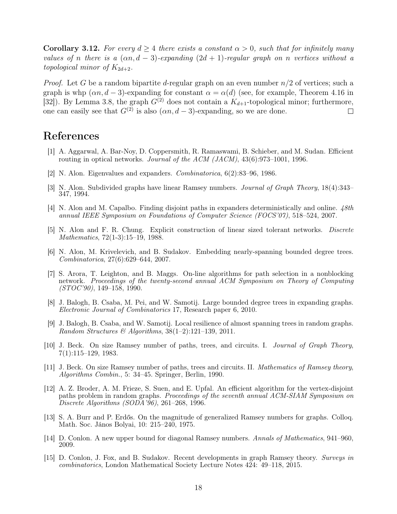**Corollary 3.12.** For every  $d \geq 4$  there exists a constant  $\alpha > 0$ , such that for infinitely many values of n there is a  $(\alpha n, d - 3)$ -expanding  $(2d + 1)$ -regular graph on n vertices without a topological minor of  $K_{2d+2}$ .

*Proof.* Let G be a random bipartite d-regular graph on an even number  $n/2$  of vertices; such a graph is whp  $(\alpha n, d - 3)$ -expanding for constant  $\alpha = \alpha(d)$  (see, for example, Theorem 4.16 in [\[32\]](#page-18-0)). By Lemma [3.8,](#page-15-0) the graph  $G^{(2)}$  does not contain a  $K_{d+1}$ -topological minor; furthermore, one can easily see that  $G^{(2)}$  is also  $(\alpha n, d - 3)$ -expanding, so we are done.  $\Box$ 

# References

- <span id="page-17-6"></span>[1] A. Aggarwal, A. Bar-Noy, D. Coppersmith, R. Ramaswami, B. Schieber, and M. Sudan. Efficient routing in optical networks. Journal of the ACM (JACM), 43(6):973–1001, 1996.
- <span id="page-17-0"></span>[2] N. Alon. Eigenvalues and expanders. Combinatorica, 6(2):83–96, 1986.
- <span id="page-17-11"></span>[3] N. Alon. Subdivided graphs have linear Ramsey numbers. Journal of Graph Theory, 18(4):343– 347, 1994.
- <span id="page-17-5"></span>[4] N. Alon and M. Capalbo. Finding disjoint paths in expanders deterministically and online. 48th annual IEEE Symposium on Foundations of Computer Science (FOCS'07), 518–524, 2007.
- <span id="page-17-12"></span>[5] N. Alon and F. R. Chung. Explicit construction of linear sized tolerant networks. Discrete Mathematics, 72(1-3):15–19, 1988.
- <span id="page-17-2"></span>[6] N. Alon, M. Krivelevich, and B. Sudakov. Embedding nearly-spanning bounded degree trees. Combinatorica, 27(6):629–644, 2007.
- <span id="page-17-14"></span>[7] S. Arora, T. Leighton, and B. Maggs. On-line algorithms for path selection in a nonblocking network. Proceedings of the twenty-second annual ACM Symposium on Theory of Computing  $(TOC'90)$ , 149-158, 1990.
- <span id="page-17-3"></span>[8] J. Balogh, B. Csaba, M. Pei, and W. Samotij. Large bounded degree trees in expanding graphs. Electronic Journal of Combinatorics 17, Research paper 6, 2010.
- <span id="page-17-4"></span>[9] J. Balogh, B. Csaba, and W. Samotij. Local resilience of almost spanning trees in random graphs. Random Structures & Algorithms,  $38(1-2):121-139$ , 2011.
- <span id="page-17-1"></span>[10] J. Beck. On size Ramsey number of paths, trees, and circuits. I. Journal of Graph Theory, 7(1):115–129, 1983.
- <span id="page-17-9"></span>[11] J. Beck. On size Ramsey number of paths, trees and circuits. II. Mathematics of Ramsey theory, Algorithms Combin., 5: 34–45. Springer, Berlin, 1990.
- <span id="page-17-13"></span>[12] A. Z. Broder, A. M. Frieze, S. Suen, and E. Upfal. An efficient algorithm for the vertex-disjoint paths problem in random graphs. Proceedings of the seventh annual ACM-SIAM Symposium on Discrete Algorithms (SODA'96), 261–268, 1996.
- <span id="page-17-10"></span>[13] S. A. Burr and P. Erdős. On the magnitude of generalized Ramsey numbers for graphs. Colloq. Math. Soc. János Bolyai, 10: 215–240, 1975.
- <span id="page-17-7"></span>[14] D. Conlon. A new upper bound for diagonal Ramsey numbers. Annals of Mathematics, 941–960, 2009.
- <span id="page-17-8"></span>[15] D. Conlon, J. Fox, and B. Sudakov. Recent developments in graph Ramsey theory. Surveys in combinatorics, London Mathematical Society Lecture Notes 424: 49–118, 2015.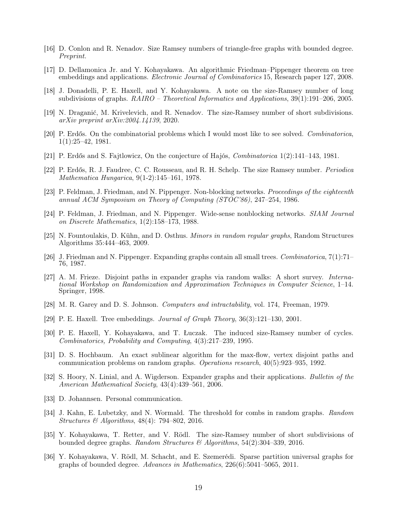- <span id="page-18-14"></span>[16] D. Conlon and R. Nenadov. Size Ramsey numbers of triangle-free graphs with bounded degree. Preprint.
- <span id="page-18-6"></span>[17] D. Dellamonica Jr. and Y. Kohayakawa. An algorithmic Friedman–Pippenger theorem on tree embeddings and applications. *Electronic Journal of Combinatorics* 15, Research paper 127, 2008.
- <span id="page-18-12"></span>[18] J. Donadelli, P. E. Haxell, and Y. Kohayakawa. A note on the size-Ramsey number of long subdivisions of graphs. RAIRO – Theoretical Informatics and Applications, 39(1):191–206, 2005.
- <span id="page-18-11"></span>[19] N. Draganić, M. Krivelevich, and R. Nenadov. The size-Ramsey number of short subdivisions. arXiv preprint arXiv:2004.14139, 2020.
- <span id="page-18-8"></span>[20] P. Erdős. On the combinatorial problems which I would most like to see solved. Combinatorica, 1(1):25–42, 1981.
- <span id="page-18-20"></span>[21] P. Erdős and S. Fajtlowicz, On the conjecture of Hajós, Combinatorica 1(2):141–143, 1981.
- <span id="page-18-7"></span>[22] P. Erdős, R. J. Faudree, C. C. Rousseau, and R. H. Schelp. The size Ramsey number. Periodica Mathematica Hungarica, 9(1-2):145–161, 1978.
- <span id="page-18-17"></span>[23] P. Feldman, J. Friedman, and N. Pippenger. Non-blocking networks. Proceedings of the eighteenth annual ACM Symposium on Theory of Computing (STOC'86), 247–254, 1986.
- <span id="page-18-18"></span>[24] P. Feldman, J. Friedman, and N. Pippenger. Wide-sense nonblocking networks. SIAM Journal on Discrete Mathematics, 1(2):158–173, 1988.
- <span id="page-18-4"></span>[25] N. Fountoulakis, D. Kühn, and D. Osthus. Minors in random regular graphs, Random Structures Algorithms 35:444–463, 2009.
- <span id="page-18-1"></span>[26] J. Friedman and N. Pippenger. Expanding graphs contain all small trees. Combinatorica, 7(1):71– 76, 1987.
- <span id="page-18-19"></span>[27] A. M. Frieze. Disjoint paths in expander graphs via random walks: A short survey. International Workshop on Randomization and Approximation Techniques in Computer Science, 1–14. Springer, 1998.
- <span id="page-18-15"></span>[28] M. R. Garey and D. S. Johnson. Computers and intractability, vol. 174, Freeman, 1979.
- <span id="page-18-2"></span>[29] P. E. Haxell. Tree embeddings. *Journal of Graph Theory*,  $36(3):121-130$ ,  $2001$ .
- <span id="page-18-9"></span>[30] P. E. Haxell, Y. Kohayakawa, and T. Łuczak. The induced size-Ramsey number of cycles. Combinatorics, Probability and Computing, 4(3):217–239, 1995.
- <span id="page-18-16"></span>[31] D. S. Hochbaum. An exact sublinear algorithm for the max-flow, vertex disjoint paths and communication problems on random graphs. Operations research, 40(5):923–935, 1992.
- <span id="page-18-0"></span>[32] S. Hoory, N. Linial, and A. Wigderson. Expander graphs and their applications. Bulletin of the American Mathematical Society, 43(4):439–561, 2006.
- <span id="page-18-5"></span>[33] D. Johannsen. Personal communication.
- <span id="page-18-3"></span>[34] J. Kahn, E. Lubetzky, and N. Wormald. The threshold for combs in random graphs. Random Structures & Algorithms, 48(4): 794–802, 2016.
- <span id="page-18-10"></span>[35] Y. Kohayakawa, T. Retter, and V. Rödl. The size-Ramsey number of short subdivisions of bounded degree graphs. Random Structures & Algorithms, 54(2):304–339, 2016.
- <span id="page-18-13"></span>[36] Y. Kohayakawa, V. Rödl, M. Schacht, and E. Szemerédi. Sparse partition universal graphs for graphs of bounded degree. Advances in Mathematics, 226(6):5041–5065, 2011.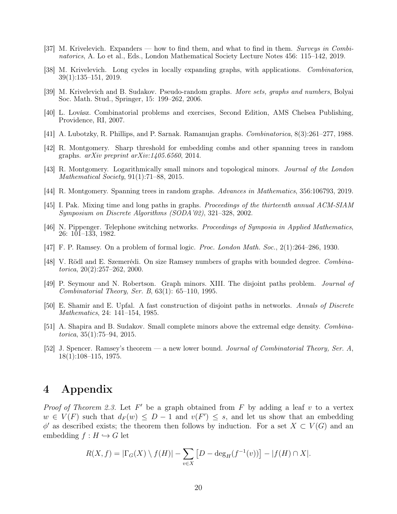- <span id="page-19-12"></span>[37] M. Krivelevich. Expanders — how to find them, and what to find in them. Surveys in Combinatorics, A. Lo et al., Eds., London Mathematical Society Lecture Notes 456: 115–142, 2019.
- [38] M. Krivelevich. Long cycles in locally expanding graphs, with applications. Combinatorica, 39(1):135–151, 2019.
- <span id="page-19-0"></span>[39] M. Krivelevich and B. Sudakov. Pseudo-random graphs. More sets, graphs and numbers, Bolyai Soc. Math. Stud., Springer, 15: 199–262, 2006.
- <span id="page-19-14"></span>[40] L. Lovász. Combinatorial problems and exercises, Second Edition, AMS Chelsea Publishing, Providence, RI, 2007.
- <span id="page-19-1"></span>[41] A. Lubotzky, R. Phillips, and P. Sarnak. Ramanujan graphs. Combinatorica, 8(3):261–277, 1988.
- <span id="page-19-13"></span>[42] R. Montgomery. Sharp threshold for embedding combs and other spanning trees in random graphs.  $arXiv$  preprint  $arXiv:1405.6560$ , 2014.
- <span id="page-19-3"></span>[43] R. Montgomery. Logarithmically small minors and topological minors. Journal of the London Mathematical Society, 91(1):71–88, 2015.
- <span id="page-19-2"></span>[44] R. Montgomery. Spanning trees in random graphs. Advances in Mathematics, 356:106793, 2019.
- <span id="page-19-5"></span>[45] I. Pak. Mixing time and long paths in graphs. Proceedings of the thirteenth annual ACM-SIAM Symposium on Discrete Algorithms (SODA'02), 321–328, 2002.
- <span id="page-19-11"></span>[46] N. Pippenger. Telephone switching networks. Proceedings of Symposia in Applied Mathematics, 26: 101–133, 1982.
- <span id="page-19-6"></span>[47] F. P. Ramsey. On a problem of formal logic. Proc. London Math. Soc., 2(1):264–286, 1930.
- <span id="page-19-8"></span>[48] V. Rödl and E. Szemerédi. On size Ramsey numbers of graphs with bounded degree. Combina $torica, 20(2):257-262, 2000.$
- <span id="page-19-9"></span>[49] P. Seymour and N. Robertson. Graph minors. XIII. The disjoint paths problem. Journal of Combinatorial Theory, Ser. B, 63(1): 65–110, 1995.
- <span id="page-19-10"></span>[50] E. Shamir and E. Upfal. A fast construction of disjoint paths in networks. Annals of Discrete Mathematics, 24: 141–154, 1985.
- <span id="page-19-4"></span>[51] A. Shapira and B. Sudakov. Small complete minors above the extremal edge density. Combina $torica, 35(1):75-94, 2015.$
- <span id="page-19-7"></span>[52] J. Spencer. Ramsey's theorem — a new lower bound. Journal of Combinatorial Theory, Ser. A, 18(1):108–115, 1975.

### 4 Appendix

*Proof of Theorem [2.3.](#page-7-2)* Let  $F'$  be a graph obtained from  $F$  by adding a leaf  $v$  to a vertex  $w \in V(F)$  such that  $d_F(w) \le D-1$  and  $v(F') \le s$ , and let us show that an embedding  $\phi'$  as described exists; the theorem then follows by induction. For a set  $X \subset V(G)$  and an embedding  $f : H \hookrightarrow G$  let

$$
R(X,f) = |\Gamma_G(X) \setminus f(H)| - \sum_{v \in X} [D - \deg_H(f^{-1}(v))] - |f(H) \cap X|.
$$